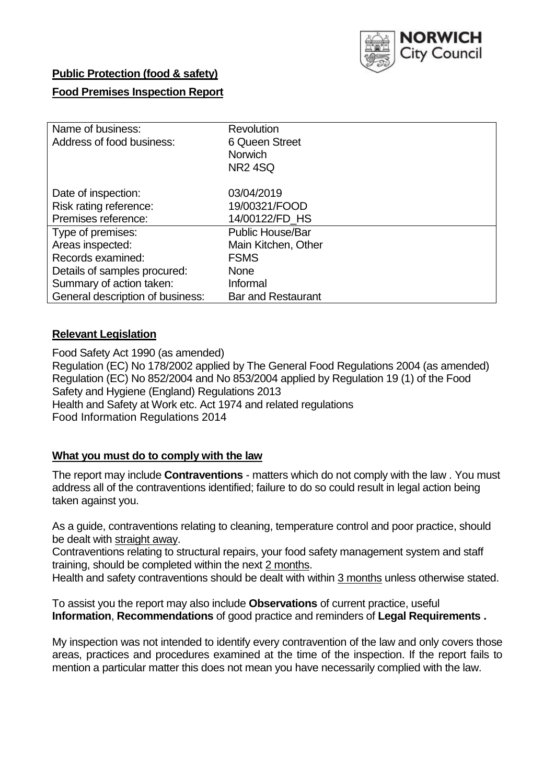

# **Public Protection (food & safety)**

# **Food Premises Inspection Report**

| Name of business:                | <b>Revolution</b>         |  |  |  |  |  |
|----------------------------------|---------------------------|--|--|--|--|--|
| Address of food business:        | 6 Queen Street            |  |  |  |  |  |
|                                  | <b>Norwich</b>            |  |  |  |  |  |
|                                  | <b>NR2 4SQ</b>            |  |  |  |  |  |
| Date of inspection:              | 03/04/2019                |  |  |  |  |  |
| Risk rating reference:           | 19/00321/FOOD             |  |  |  |  |  |
| Premises reference:              | 14/00122/FD_HS            |  |  |  |  |  |
| Type of premises:                | <b>Public House/Bar</b>   |  |  |  |  |  |
| Areas inspected:                 | Main Kitchen, Other       |  |  |  |  |  |
| Records examined:                | <b>FSMS</b>               |  |  |  |  |  |
| Details of samples procured:     | <b>None</b>               |  |  |  |  |  |
| Summary of action taken:         | Informal                  |  |  |  |  |  |
| General description of business: | <b>Bar and Restaurant</b> |  |  |  |  |  |

## **Relevant Legislation**

Food Safety Act 1990 (as amended) Regulation (EC) No 178/2002 applied by The General Food Regulations 2004 (as amended) Regulation (EC) No 852/2004 and No 853/2004 applied by Regulation 19 (1) of the Food Safety and Hygiene (England) Regulations 2013 Health and Safety at Work etc. Act 1974 and related regulations Food Information Regulations 2014

# **What you must do to comply with the law**

The report may include **Contraventions** - matters which do not comply with the law . You must address all of the contraventions identified; failure to do so could result in legal action being taken against you.

As a guide, contraventions relating to cleaning, temperature control and poor practice, should be dealt with straight away.

Contraventions relating to structural repairs, your food safety management system and staff training, should be completed within the next 2 months.

Health and safety contraventions should be dealt with within 3 months unless otherwise stated.

To assist you the report may also include **Observations** of current practice, useful **Information**, **Recommendations** of good practice and reminders of **Legal Requirements .**

My inspection was not intended to identify every contravention of the law and only covers those areas, practices and procedures examined at the time of the inspection. If the report fails to mention a particular matter this does not mean you have necessarily complied with the law.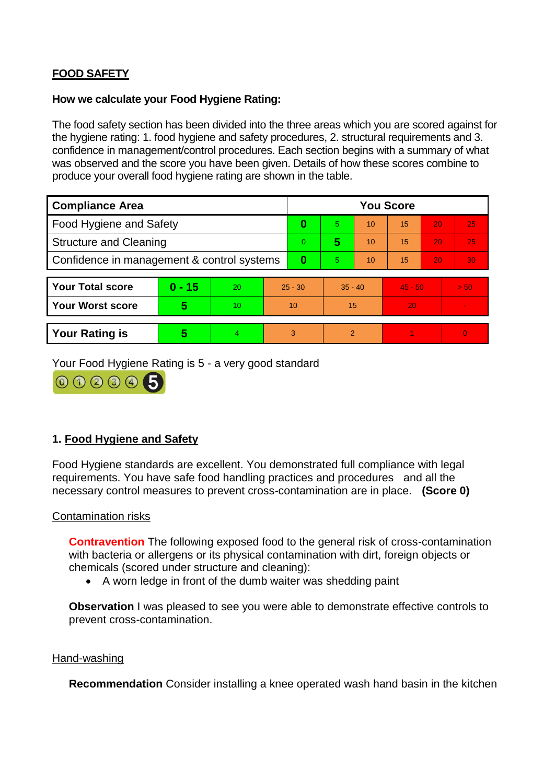# **FOOD SAFETY**

#### **How we calculate your Food Hygiene Rating:**

The food safety section has been divided into the three areas which you are scored against for the hygiene rating: 1. food hygiene and safety procedures, 2. structural requirements and 3. confidence in management/control procedures. Each section begins with a summary of what was observed and the score you have been given. Details of how these scores combine to produce your overall food hygiene rating are shown in the table.

| <b>Compliance Area</b>                     |          |    |           | <b>You Score</b> |                |    |           |    |                |  |  |
|--------------------------------------------|----------|----|-----------|------------------|----------------|----|-----------|----|----------------|--|--|
| Food Hygiene and Safety                    |          |    | 0         | 5                | 10             | 15 | 20        | 25 |                |  |  |
| <b>Structure and Cleaning</b>              |          |    | $\Omega$  | 5                | 10             | 15 | 20        | 25 |                |  |  |
| Confidence in management & control systems |          |    | 0         | 5                | 10             | 15 | 20        | 30 |                |  |  |
|                                            |          |    |           |                  |                |    |           |    |                |  |  |
| <b>Your Total score</b>                    | $0 - 15$ | 20 | $25 - 30$ |                  | $35 - 40$      |    | $45 - 50$ |    | > 50           |  |  |
| <b>Your Worst score</b>                    | 5        | 10 | 10        |                  | 15             |    | 20        |    | $\blacksquare$ |  |  |
|                                            |          |    |           |                  |                |    |           |    |                |  |  |
| <b>Your Rating is</b>                      | 5        | 4  | 3         |                  | $\overline{2}$ |    |           |    | $\Omega$       |  |  |

Your Food Hygiene Rating is 5 - a very good standard



# **1. Food Hygiene and Safety**

Food Hygiene standards are excellent. You demonstrated full compliance with legal requirements. You have safe food handling practices and procedures and all the necessary control measures to prevent cross-contamination are in place. **(Score 0)**

## Contamination risks

**Contravention** The following exposed food to the general risk of cross-contamination with bacteria or allergens or its physical contamination with dirt, foreign objects or chemicals (scored under structure and cleaning):

A worn ledge in front of the dumb waiter was shedding paint

**Observation** I was pleased to see you were able to demonstrate effective controls to prevent cross-contamination.

#### Hand-washing

**Recommendation** Consider installing a knee operated wash hand basin in the kitchen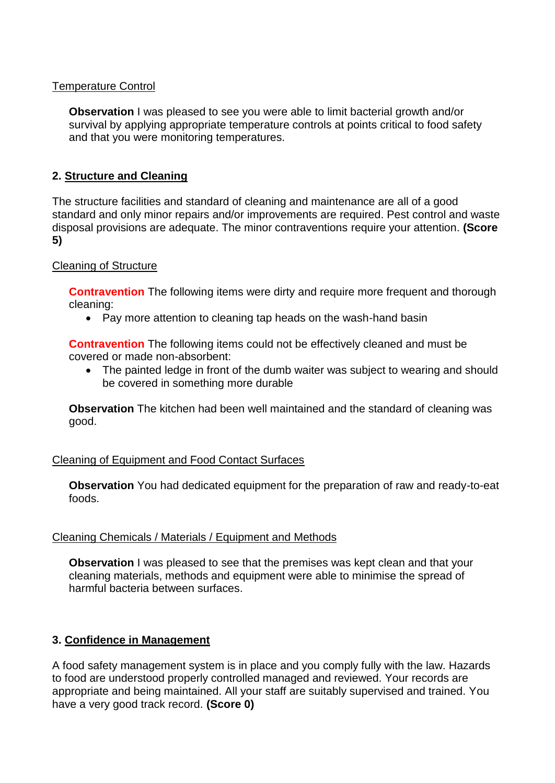## Temperature Control

**Observation** I was pleased to see you were able to limit bacterial growth and/or survival by applying appropriate temperature controls at points critical to food safety and that you were monitoring temperatures.

# **2. Structure and Cleaning**

The structure facilities and standard of cleaning and maintenance are all of a good standard and only minor repairs and/or improvements are required. Pest control and waste disposal provisions are adequate. The minor contraventions require your attention. **(Score 5)**

## Cleaning of Structure

**Contravention** The following items were dirty and require more frequent and thorough cleaning:

• Pay more attention to cleaning tap heads on the wash-hand basin

**Contravention** The following items could not be effectively cleaned and must be covered or made non-absorbent:

• The painted ledge in front of the dumb waiter was subject to wearing and should be covered in something more durable

**Observation** The kitchen had been well maintained and the standard of cleaning was good.

## Cleaning of Equipment and Food Contact Surfaces

**Observation** You had dedicated equipment for the preparation of raw and ready-to-eat foods.

## Cleaning Chemicals / Materials / Equipment and Methods

**Observation** I was pleased to see that the premises was kept clean and that your cleaning materials, methods and equipment were able to minimise the spread of harmful bacteria between surfaces.

# **3. Confidence in Management**

A food safety management system is in place and you comply fully with the law. Hazards to food are understood properly controlled managed and reviewed. Your records are appropriate and being maintained. All your staff are suitably supervised and trained. You have a very good track record. **(Score 0)**